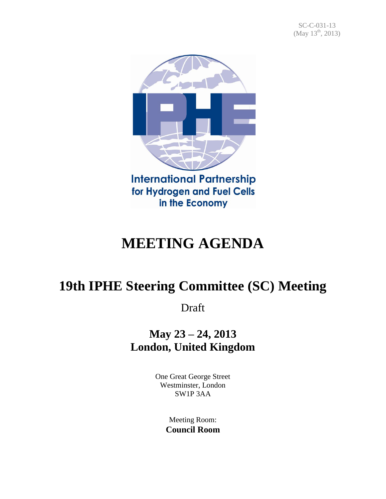

# **MEETING AGENDA**

## **19th IPHE Steering Committee (SC) Meeting**

Draft

**May 23 – 24, 2013 London, United Kingdom**

> One Great George Street Westminster, London SW1P 3AA

> > Meeting Room: **Council Room**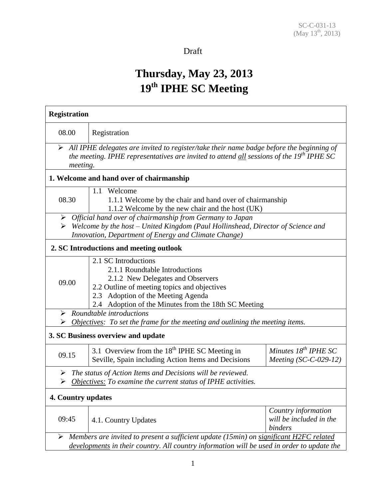#### Draft

### **Thursday, May 23, 2013 19 th IPHE SC Meeting**

| <b>Registration</b>                     |                                                                                                                                                                                                                                           |                                                           |  |  |
|-----------------------------------------|-------------------------------------------------------------------------------------------------------------------------------------------------------------------------------------------------------------------------------------------|-----------------------------------------------------------|--|--|
| 08.00                                   | Registration                                                                                                                                                                                                                              |                                                           |  |  |
| meeting.                                | $\triangleright$ All IPHE delegates are invited to register/take their name badge before the beginning of<br>the meeting. IPHE representatives are invited to attend all sessions of the 19 <sup>th</sup> IPHE SC                         |                                                           |  |  |
|                                         | 1. Welcome and hand over of chairmanship                                                                                                                                                                                                  |                                                           |  |  |
| 08.30                                   | 1.1 Welcome<br>1.1.1 Welcome by the chair and hand over of chairmanship<br>1.1.2 Welcome by the new chair and the host (UK)                                                                                                               |                                                           |  |  |
| ➤                                       | Official hand over of chairmanship from Germany to Japan<br>Welcome by the host – United Kingdom (Paul Hollinshead, Director of Science and<br>Innovation, Department of Energy and Climate Change)                                       |                                                           |  |  |
| 2. SC Introductions and meeting outlook |                                                                                                                                                                                                                                           |                                                           |  |  |
| 09.00                                   | 2.1 SC Introductions<br>2.1.1 Roundtable Introductions<br>2.1.2 New Delegates and Observers<br>2.2 Outline of meeting topics and objectives<br>2.3 Adoption of the Meeting Agenda<br>2.4 Adoption of the Minutes from the 18th SC Meeting |                                                           |  |  |
| ➤<br>➤                                  | Roundtable introductions<br><b>Objectives:</b> To set the frame for the meeting and outlining the meeting items.                                                                                                                          |                                                           |  |  |
|                                         | 3. SC Business overview and update                                                                                                                                                                                                        |                                                           |  |  |
| 09.15                                   | 3.1 Overview from the $18th$ IPHE SC Meeting in<br>Seville, Spain including Action Items and Decisions                                                                                                                                    | Minutes $18^{th}$ IPHE SC<br>Meeting $(SC-C-029-12)$      |  |  |
| ➤<br>➤                                  | The status of Action Items and Decisions will be reviewed.<br>Objectives: To examine the current status of IPHE activities.                                                                                                               |                                                           |  |  |
| 4. Country updates                      |                                                                                                                                                                                                                                           |                                                           |  |  |
| 09:45                                   | 4.1. Country Updates                                                                                                                                                                                                                      | Country information<br>will be included in the<br>binders |  |  |
| ➤                                       | Members are invited to present a sufficient update (15min) on significant H2FC related<br>developments in their country. All country information will be used in order to update the                                                      |                                                           |  |  |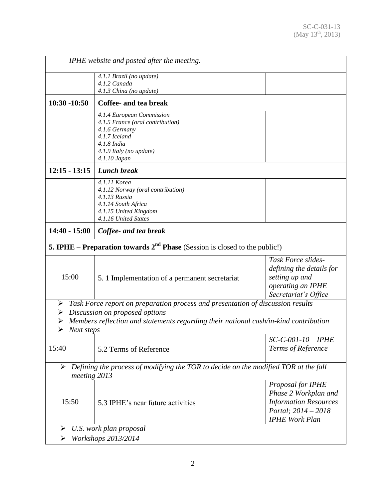| IPHE website and posted after the meeting.                                                                                                                                                                                             |                                                                                                                                                           |                                                                                                                           |  |  |
|----------------------------------------------------------------------------------------------------------------------------------------------------------------------------------------------------------------------------------------|-----------------------------------------------------------------------------------------------------------------------------------------------------------|---------------------------------------------------------------------------------------------------------------------------|--|--|
|                                                                                                                                                                                                                                        | 4.1.1 Brazil (no update)<br>4.1.2 Canada<br>4.1.3 China (no update)                                                                                       |                                                                                                                           |  |  |
| $10:30 - 10:50$                                                                                                                                                                                                                        | Coffee- and tea break                                                                                                                                     |                                                                                                                           |  |  |
|                                                                                                                                                                                                                                        | 4.1.4 European Commission<br>4.1.5 France (oral contribution)<br>4.1.6 Germany<br>4.1.7 Iceland<br>4.1.8 India<br>4.1.9 Italy (no update)<br>4.1.10 Japan |                                                                                                                           |  |  |
| $12:15 - 13:15$                                                                                                                                                                                                                        | <b>Lunch break</b>                                                                                                                                        |                                                                                                                           |  |  |
|                                                                                                                                                                                                                                        | 4.1.11 Korea<br>4.1.12 Norway (oral contribution)<br>4.1.13 Russia<br>4.1.14 South Africa<br>4.1.15 United Kingdom<br>4.1.16 United States                |                                                                                                                           |  |  |
| $14:40 - 15:00$                                                                                                                                                                                                                        | Coffee- and tea break                                                                                                                                     |                                                                                                                           |  |  |
|                                                                                                                                                                                                                                        | <b>5. IPHE – Preparation towards <math>2^{nd}</math> Phase</b> (Session is closed to the public!)                                                         |                                                                                                                           |  |  |
| 15:00                                                                                                                                                                                                                                  | 5. 1 Implementation of a permanent secretariat                                                                                                            | Task Force slides-<br>defining the details for<br>setting up and<br>operating an IPHE<br>Secretariat's Office             |  |  |
| Task Force report on preparation process and presentation of discussion results<br>➤<br>Discussion on proposed options<br>➤<br>Members reflection and statements regarding their national cash/in-kind contribution<br>➤<br>Next steps |                                                                                                                                                           |                                                                                                                           |  |  |
| 15:40                                                                                                                                                                                                                                  | 5.2 Terms of Reference                                                                                                                                    | SC-C-001-10 – IPHE<br>Terms of Reference                                                                                  |  |  |
| Defining the process of modifying the TOR to decide on the modified TOR at the fall<br>➤<br>meeting 2013                                                                                                                               |                                                                                                                                                           |                                                                                                                           |  |  |
| 15:50                                                                                                                                                                                                                                  | 5.3 IPHE's near future activities                                                                                                                         | Proposal for IPHE<br>Phase 2 Workplan and<br><b>Information Resources</b><br>Portal; 2014 - 2018<br><b>IPHE Work Plan</b> |  |  |
| ➤<br>U.S. work plan proposal<br>Workshops 2013/2014<br>➤                                                                                                                                                                               |                                                                                                                                                           |                                                                                                                           |  |  |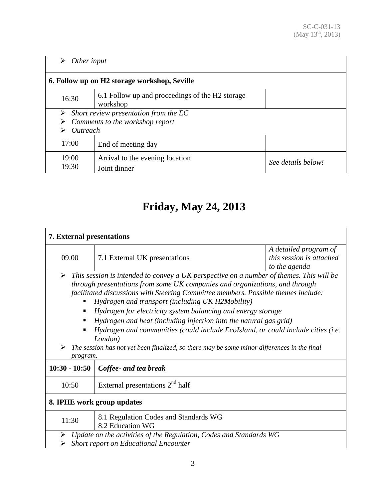| Other input<br>➤                             |                                                             |                    |  |  |
|----------------------------------------------|-------------------------------------------------------------|--------------------|--|--|
| 6. Follow up on H2 storage workshop, Seville |                                                             |                    |  |  |
| 16:30                                        | 6.1 Follow up and proceedings of the H2 storage<br>workshop |                    |  |  |
| Short review presentation from the EC<br>➤   |                                                             |                    |  |  |
| Comments to the workshop report              |                                                             |                    |  |  |
| Outreach                                     |                                                             |                    |  |  |
| 17:00                                        | End of meeting day                                          |                    |  |  |
| 19:00                                        | Arrival to the evening location                             | See details below! |  |  |
| 19:30                                        | Joint dinner                                                |                    |  |  |

### **Friday, May 24, 2013**

| <b>7. External presentations</b>                                                                                      |                                                                                                                                                                  |                                                                    |  |  |
|-----------------------------------------------------------------------------------------------------------------------|------------------------------------------------------------------------------------------------------------------------------------------------------------------|--------------------------------------------------------------------|--|--|
| 09.00                                                                                                                 | 7.1 External UK presentations                                                                                                                                    | A detailed program of<br>this session is attached<br>to the agenda |  |  |
| This session is intended to convey a UK perspective on a number of themes. This will be<br>$\blacktriangleright$      |                                                                                                                                                                  |                                                                    |  |  |
|                                                                                                                       | through presentations from some UK companies and organizations, and through<br>facilitated discussions with Steering Committee members. Possible themes include: |                                                                    |  |  |
| Hydrogen and transport (including UK H2Mobility)                                                                      |                                                                                                                                                                  |                                                                    |  |  |
|                                                                                                                       | Hydrogen for electricity system balancing and energy storage                                                                                                     |                                                                    |  |  |
|                                                                                                                       | Hydrogen and heat (including injection into the natural gas grid)                                                                                                |                                                                    |  |  |
|                                                                                                                       | Hydrogen and communities (could include EcoIsland, or could include cities (i.e.                                                                                 |                                                                    |  |  |
| London)<br>The session has not yet been finalized, so there may be some minor differences in the final<br>program.    |                                                                                                                                                                  |                                                                    |  |  |
| $10:30 - 10:50$                                                                                                       | Coffee- and tea break                                                                                                                                            |                                                                    |  |  |
| 10:50                                                                                                                 | External presentations $2nd$ half                                                                                                                                |                                                                    |  |  |
| 8. IPHE work group updates                                                                                            |                                                                                                                                                                  |                                                                    |  |  |
| 11:30                                                                                                                 | 8.1 Regulation Codes and Standards WG<br>8.2 Education WG                                                                                                        |                                                                    |  |  |
| Update on the activities of the Regulation, Codes and Standards WG<br>➤<br>Short report on Educational Encounter<br>⋗ |                                                                                                                                                                  |                                                                    |  |  |
|                                                                                                                       |                                                                                                                                                                  |                                                                    |  |  |